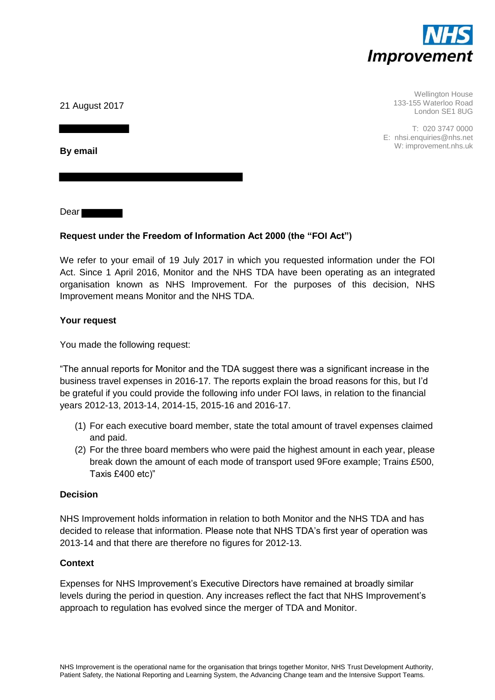

Wellington House 133-155 Waterloo Road London SE1 8UG

T: 020 3747 0000 E: nhsi.enquiries@nhs.net W: improvement.nhs.uk

21 August 2017

**By email** 

Dear

# **Request under the Freedom of Information Act 2000 (the "FOI Act")**

We refer to your email of 19 July 2017 in which you requested information under the FOI Act. Since 1 April 2016, Monitor and the NHS TDA have been operating as an integrated organisation known as NHS Improvement. For the purposes of this decision, NHS Improvement means Monitor and the NHS TDA.

## **Your request**

You made the following request:

"The annual reports for Monitor and the TDA suggest there was a significant increase in the business travel expenses in 2016-17. The reports explain the broad reasons for this, but I'd be grateful if you could provide the following info under FOI laws, in relation to the financial years 2012-13, 2013-14, 2014-15, 2015-16 and 2016-17.

- (1) For each executive board member, state the total amount of travel expenses claimed and paid.
- (2) For the three board members who were paid the highest amount in each year, please break down the amount of each mode of transport used 9Fore example; Trains £500, Taxis £400 etc)"

#### **Decision**

NHS Improvement holds information in relation to both Monitor and the NHS TDA and has decided to release that information. Please note that NHS TDA's first year of operation was 2013-14 and that there are therefore no figures for 2012-13.

## **Context**

Expenses for NHS Improvement's Executive Directors have remained at broadly similar levels during the period in question. Any increases reflect the fact that NHS Improvement's approach to regulation has evolved since the merger of TDA and Monitor.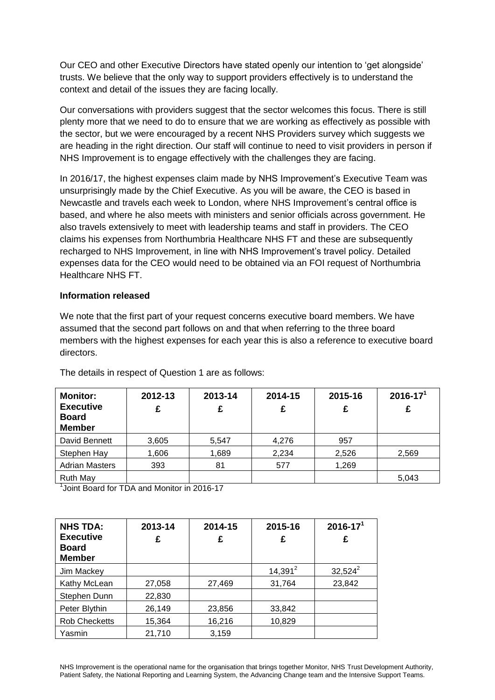Our CEO and other Executive Directors have stated openly our intention to 'get alongside' trusts. We believe that the only way to support providers effectively is to understand the context and detail of the issues they are facing locally.

Our conversations with providers suggest that the sector welcomes this focus. There is still plenty more that we need to do to ensure that we are working as effectively as possible with the sector, but we were encouraged by a recent NHS Providers survey which suggests we are heading in the right direction. Our staff will continue to need to visit providers in person if NHS Improvement is to engage effectively with the challenges they are facing.

In 2016/17, the highest expenses claim made by NHS Improvement's Executive Team was unsurprisingly made by the Chief Executive. As you will be aware, the CEO is based in Newcastle and travels each week to London, where NHS Improvement's central office is based, and where he also meets with ministers and senior officials across government. He also travels extensively to meet with leadership teams and staff in providers. The CEO claims his expenses from Northumbria Healthcare NHS FT and these are subsequently recharged to NHS Improvement, in line with NHS Improvement's travel policy. Detailed expenses data for the CEO would need to be obtained via an FOI request of Northumbria Healthcare NHS FT.

#### **Information released**

We note that the first part of your request concerns executive board members. We have assumed that the second part follows on and that when referring to the three board members with the highest expenses for each year this is also a reference to executive board directors.

| <b>Monitor:</b><br><b>Executive</b><br><b>Board</b><br><b>Member</b> | 2012-13<br>£ | 2013-14<br>£ | 2014-15<br>£ | 2015-16 | $2016 - 171$<br>£ |
|----------------------------------------------------------------------|--------------|--------------|--------------|---------|-------------------|
| David Bennett                                                        | 3,605        | 5,547        | 4,276        | 957     |                   |
| Stephen Hay                                                          | 1,606        | 1,689        | 2,234        | 2,526   | 2,569             |
| <b>Adrian Masters</b>                                                | 393          | 81           | 577          | 1,269   |                   |
| <b>Ruth May</b>                                                      |              |              |              |         | 5,043             |

The details in respect of Question 1 are as follows:

1 Joint Board for TDA and Monitor in 2016-17

| <b>NHS TDA:</b><br><b>Executive</b><br><b>Board</b><br><b>Member</b> | 2013-14<br>£ | 2014-15<br>£ | 2015-16<br>£ | $2016 - 17^{1}$<br>£ |
|----------------------------------------------------------------------|--------------|--------------|--------------|----------------------|
| Jim Mackey                                                           |              |              | $14,391^2$   | $32,524^2$           |
| Kathy McLean                                                         | 27,058       | 27,469       | 31,764       | 23,842               |
| Stephen Dunn                                                         | 22,830       |              |              |                      |
| Peter Blythin                                                        | 26,149       | 23,856       | 33,842       |                      |
| <b>Rob Checketts</b>                                                 | 15,364       | 16,216       | 10.829       |                      |
| Yasmin                                                               | 21,710       | 3,159        |              |                      |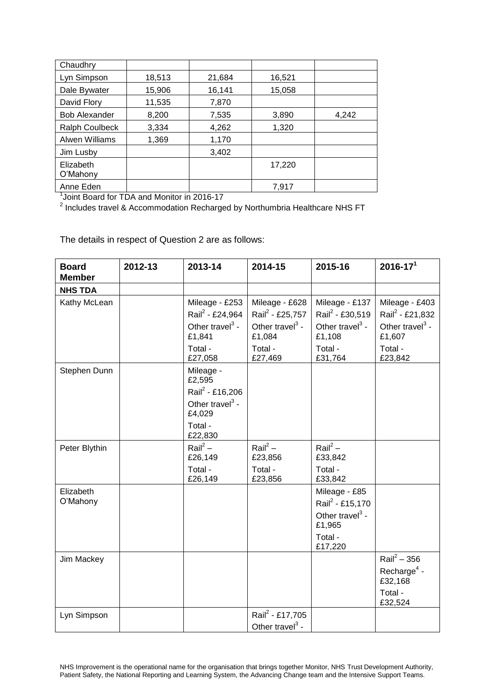| Chaudhry              |        |        |        |       |
|-----------------------|--------|--------|--------|-------|
| Lyn Simpson           | 18,513 | 21,684 | 16,521 |       |
| Dale Bywater          | 15,906 | 16,141 | 15,058 |       |
| David Flory           | 11,535 | 7,870  |        |       |
| <b>Bob Alexander</b>  | 8,200  | 7,535  | 3,890  | 4,242 |
| <b>Ralph Coulbeck</b> | 3,334  | 4,262  | 1,320  |       |
| Alwen Williams        | 1,369  | 1,170  |        |       |
| Jim Lusby             |        | 3,402  |        |       |
| Elizabeth<br>O'Mahony |        |        | 17,220 |       |
| Anne Eden             |        |        | 7,917  |       |

Anne Eden 7,917 1 Joint Board for TDA and Monitor in 2016-17 2 Includes travel & Accommodation Recharged by Northumbria Healthcare NHS FT

The details in respect of Question 2 are as follows:

| <b>Board</b><br><b>Member</b> | 2012-13 | 2013-14                                                                                                      | 2014-15                                                                                                      | 2015-16                                                                                                      | $2016 - 171$                                                                                                 |
|-------------------------------|---------|--------------------------------------------------------------------------------------------------------------|--------------------------------------------------------------------------------------------------------------|--------------------------------------------------------------------------------------------------------------|--------------------------------------------------------------------------------------------------------------|
| <b>NHS TDA</b>                |         |                                                                                                              |                                                                                                              |                                                                                                              |                                                                                                              |
| Kathy McLean                  |         | Mileage - £253<br>Rail <sup>2</sup> - £24,964<br>Other travel <sup>3</sup> -<br>£1,841<br>Total -<br>£27,058 | Mileage - £628<br>Rail <sup>2</sup> - £25,757<br>Other travel <sup>3</sup> -<br>£1,084<br>Total -<br>£27,469 | Mileage - £137<br>Rail <sup>2</sup> - £30,519<br>Other travel <sup>3</sup> -<br>£1,108<br>Total -<br>£31,764 | Mileage - £403<br>Rail <sup>2</sup> - £21,832<br>Other travel <sup>3</sup> -<br>£1,607<br>Total -<br>£23,842 |
| Stephen Dunn                  |         | Mileage -<br>£2,595<br>Rail <sup>2</sup> - £16,206<br>Other travel $3 -$<br>£4,029<br>Total -<br>£22,830     |                                                                                                              |                                                                                                              |                                                                                                              |
| Peter Blythin                 |         | Rail <sup>2</sup> –<br>£26,149<br>Total -<br>£26,149                                                         | Rail <sup>2</sup> –<br>£23,856<br>Total -<br>£23,856                                                         | $\text{Rail}^2$ –<br>£33,842<br>Total -<br>£33,842                                                           |                                                                                                              |
| Elizabeth<br>O'Mahony         |         |                                                                                                              |                                                                                                              | Mileage - £85<br>Rail <sup>2</sup> - £15,170<br>Other travel $3$ -<br>£1,965<br>Total -<br>£17,220           |                                                                                                              |
| Jim Mackey                    |         |                                                                                                              |                                                                                                              |                                                                                                              | $\text{Rail}^2 - 356$<br>Recharge <sup>4</sup> -<br>£32,168<br>Total -<br>£32,524                            |
| Lyn Simpson                   |         |                                                                                                              | Rail <sup>2</sup> - £17,705<br>Other travel $3$ -                                                            |                                                                                                              |                                                                                                              |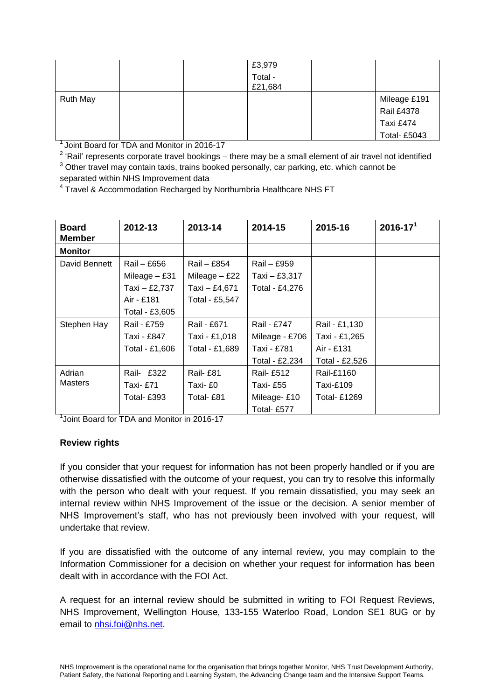|                 |  | £3,979             |                     |
|-----------------|--|--------------------|---------------------|
|                 |  | Total -<br>£21,684 |                     |
| <b>Ruth May</b> |  |                    | Mileage £191        |
|                 |  |                    | <b>Rail £4378</b>   |
|                 |  |                    | Taxi £474           |
|                 |  |                    | <b>Total- £5043</b> |

<sup>1</sup> Joint Board for TDA and Monitor in 2016-17

 $2$  'Rail' represents corporate travel bookings – there may be a small element of air travel not identified  $3$  Other travel may contain taxis, trains booked personally, car parking, etc. which cannot be separated within NHS Improvement data

<sup>4</sup> Travel & Accommodation Recharged by Northumbria Healthcare NHS FT

| <b>Board</b><br>Member | 2012-13         | 2013-14         | 2014-15          | 2015-16        | $2016 - 171$ |
|------------------------|-----------------|-----------------|------------------|----------------|--------------|
| <b>Monitor</b>         |                 |                 |                  |                |              |
| David Bennett          | Rail – £656     | Rail – £854     | Rail – £959      |                |              |
|                        | Mileage $-$ £31 | Mileage $-$ £22 | Taxi - £3,317    |                |              |
|                        | Taxi - £2,737   | Taxi – £4,671   | Total - £4,276   |                |              |
|                        | Air - £181      | Total - £5,547  |                  |                |              |
|                        | Total - £3,605  |                 |                  |                |              |
| Stephen Hay            | Rail - £759     | Rail - £671     | Rail - £747      | Rail - £1,130  |              |
|                        | Taxi - £847     | Taxi - £1,018   | Mileage - £706   | Taxi - £1,265  |              |
|                        | Total - £1,606  | Total - £1,689  | Taxi - £781      | Air - £131     |              |
|                        |                 |                 | Total - £2,234   | Total - £2,526 |              |
| Adrian<br>Masters      | Rail- £322      | Rail- £81       | <b>Rail-£512</b> | Rail-£1160     |              |
|                        | Taxi- £71       | Taxi- £0        | Taxi-£55         | Taxi-£109      |              |
|                        | Total- £393     | Total- £81      | Mileage-£10      | Total- £1269   |              |
|                        |                 |                 | Total- £577      |                |              |

<sup>1</sup> Joint Board for TDA and Monitor in 2016-17

## **Review rights**

If you consider that your request for information has not been properly handled or if you are otherwise dissatisfied with the outcome of your request, you can try to resolve this informally with the person who dealt with your request. If you remain dissatisfied, you may seek an internal review within NHS Improvement of the issue or the decision. A senior member of NHS Improvement's staff, who has not previously been involved with your request, will undertake that review.

If you are dissatisfied with the outcome of any internal review, you may complain to the Information Commissioner for a decision on whether your request for information has been dealt with in accordance with the FOI Act.

A request for an internal review should be submitted in writing to FOI Request Reviews, NHS Improvement, Wellington House, 133-155 Waterloo Road, London SE1 8UG or by email to [nhsi.foi@nhs.net.](mailto:nhsi.foi@nhs.net)